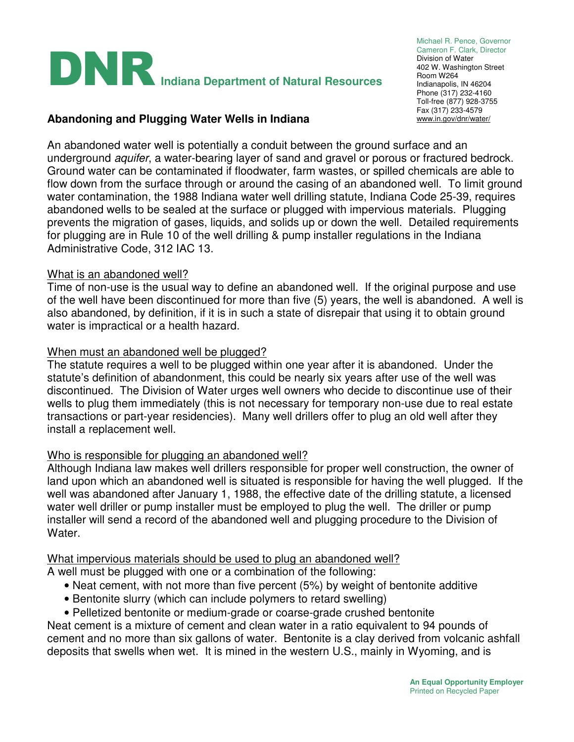

Michael R. Pence, Governor Cameron F. Clark, Director Division of Water 402 W. Washington Street Room W264 Indianapolis, IN 46204 Phone (317) 232-4160 Toll-free (877) 928-3755 Fax (317) 233-4579<br>www.in.gov/dnr/water/

### **Abandoning and Plugging Water Wells in Indiana**

An abandoned water well is potentially a conduit between the ground surface and an underground aquifer, a water-bearing layer of sand and gravel or porous or fractured bedrock. Ground water can be contaminated if floodwater, farm wastes, or spilled chemicals are able to flow down from the surface through or around the casing of an abandoned well. To limit ground water contamination, the 1988 Indiana water well drilling statute, Indiana Code 25-39, requires abandoned wells to be sealed at the surface or plugged with impervious materials. Plugging prevents the migration of gases, liquids, and solids up or down the well. Detailed requirements for plugging are in Rule 10 of the well drilling & pump installer regulations in the Indiana Administrative Code, 312 IAC 13.

### What is an abandoned well?

Time of non-use is the usual way to define an abandoned well. If the original purpose and use of the well have been discontinued for more than five (5) years, the well is abandoned. A well is also abandoned, by definition, if it is in such a state of disrepair that using it to obtain ground water is impractical or a health hazard.

### When must an abandoned well be plugged?

The statute requires a well to be plugged within one year after it is abandoned. Under the statute's definition of abandonment, this could be nearly six years after use of the well was discontinued. The Division of Water urges well owners who decide to discontinue use of their wells to plug them immediately (this is not necessary for temporary non-use due to real estate transactions or part-year residencies). Many well drillers offer to plug an old well after they install a replacement well.

#### Who is responsible for plugging an abandoned well?

Although Indiana law makes well drillers responsible for proper well construction, the owner of land upon which an abandoned well is situated is responsible for having the well plugged. If the well was abandoned after January 1, 1988, the effective date of the drilling statute, a licensed water well driller or pump installer must be employed to plug the well. The driller or pump installer will send a record of the abandoned well and plugging procedure to the Division of Water.

# What impervious materials should be used to plug an abandoned well?

A well must be plugged with one or a combination of the following:

- Neat cement, with not more than five percent (5%) by weight of bentonite additive
- Bentonite slurry (which can include polymers to retard swelling)
- Pelletized bentonite or medium-grade or coarse-grade crushed bentonite

Neat cement is a mixture of cement and clean water in a ratio equivalent to 94 pounds of cement and no more than six gallons of water. Bentonite is a clay derived from volcanic ashfall deposits that swells when wet. It is mined in the western U.S., mainly in Wyoming, and is